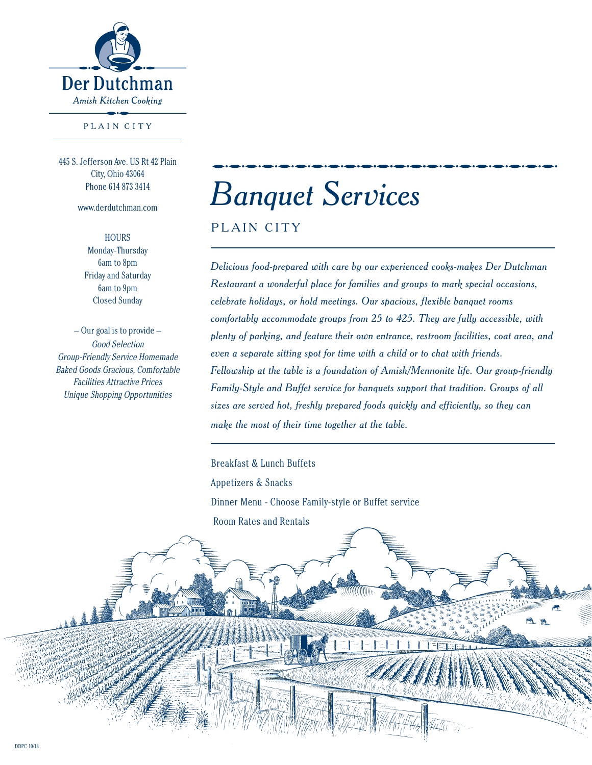

PLAIN CITY

445 S. Jefferson Ave. US Rt 42 Plain City, Ohio 43064 Phone 614 873 3414

www.derdutchman.com

**HOURS** Monday-Thursday 6am to 8pm Friday and Saturday 6am to 9pm Closed Sunday

Good Selection Group-Friendly Service Homemade Baked Goods Gracious, Comfortable Facilities Attractive Prices Unique Shopping Opportunities  $-$  Our goal is to provide  $-$ 

# *Banquet Services*

PLAIN CITY

*Delicious food-prepared with care by our experienced cooks-makes Der Dutchman Restaurant a wonderful place for families and groups to mark special occasions, celebrate holidays, or hold meetings. Our spacious, flexible banquet rooms comfortably accommodate groups from 25 to 425. They are fully accessible, with plenty of parking, and feature their own entrance, restroom facilities, coat area, and even a separate sitting spot for time with a child or to chat with friends. Fellowship at the table is a foundation of Amish/Mennonite life. Our group-friendly Family-Style and Buffet service for banquets support that tradition. Groups of all sizes are served hot, freshly prepared foods quickly and efficiently, so they can make the most of their time together at the table.* 

Breakfast & Lunch Buffets

Appetizers & Snacks

Dinner Menu - Choose Family-style or Buffet service

Room Rates and Rentals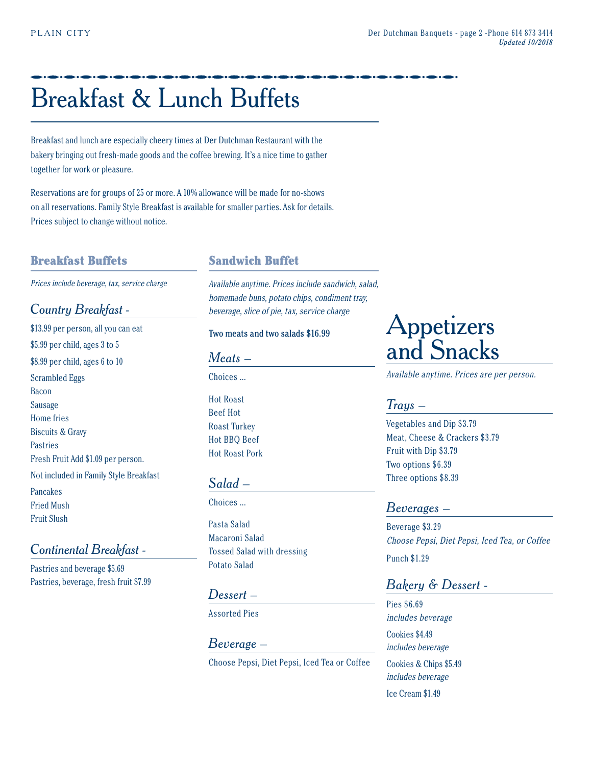## Breakfast & Lunch Buffets

Breakfast and lunch are especially cheery times at Der Dutchman Restaurant with the bakery bringing out fresh-made goods and the coffee brewing. It's a nice time to gather together for work or pleasure.

Reservations are for groups of 25 or more. A 10% allowance will be made for no-shows on all reservations. Family Style Breakfast is available for smaller parties. Ask for details. Prices subject to change without notice.

#### Breakfast Buffets

Prices include beverage, tax, service charge

#### *Country Breakfast -*

\$13.99 per person, all you can eat \$5.99 per child, ages 3 to 5 \$8.99 per child, ages 6 to 10 Scrambled Eggs Bacon Sausage Home fries Biscuits & Gravy Pastries Fresh Fruit Add \$1.09 per person. Not included in Family Style Breakfast Pancakes Fried Mush Fruit Slush

#### *Continental Breakfast -*

Pastries and beverage \$5.69 Pastries, beverage, fresh fruit \$7.99

#### Sandwich Buffet

Available anytime. Prices include sandwich, salad, homemade buns, potato chips, condiment tray, beverage, slice of pie, tax, service charge

#### Two meats and two salads \$16.99

*Meats –* 

Choices ...

Hot Roast Beef Hot Roast Turkey Hot BBQ Beef Hot Roast Pork

#### *Salad –*

Choices ...

Pasta Salad Macaroni Salad Tossed Salad with dressing Potato Salad

#### *Dessert –*

Assorted Pies

#### *Beverage –* Choose Pepsi, Diet Pepsi, Iced Tea or Coffee

### **Appetizers** and Snacks

Available anytime. Prices are per person.

#### *Trays –*

Vegetables and Dip \$3.79 Meat, Cheese & Crackers \$3.79 Fruit with Dip \$3.79 Two options \$6.39 Three options \$8.39

#### *Beverages –*

Beverage \$3.29 Choose Pepsi, Diet Pepsi, Iced Tea, or Coffee Punch \$1.29

#### *Bakery & Dessert -*

Pies \$6.69 includes beverage Cookies \$4.49 includes beverage Cookies & Chips \$5.49 includes beverage

Ice Cream \$1.49